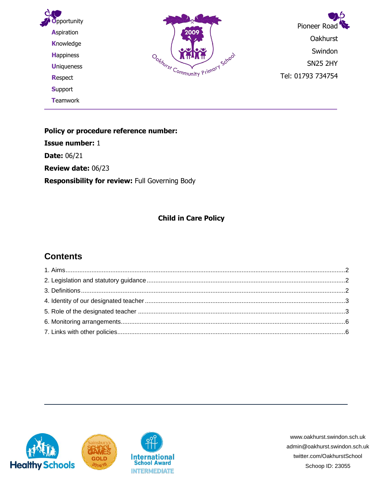

**Policy or procedure reference number: Issue number:** 1 **Date:** 06/21 **Review date:** 06/23 **Responsibility for review:** Full Governing Body

#### **Child in Care Policy**

### **Contents**



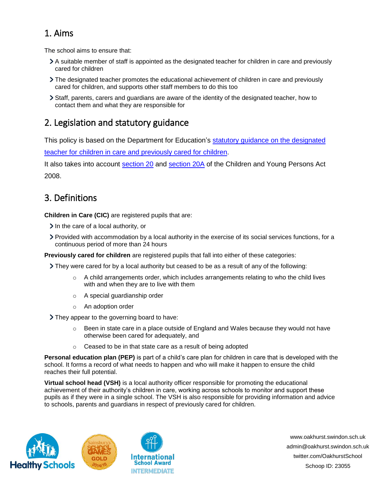### <span id="page-1-0"></span>1. Aims

The school aims to ensure that:

- A suitable member of staff is appointed as the designated teacher for children in care and previously cared for children
- The designated teacher promotes the educational achievement of children in care and previously cared for children, and supports other staff members to do this too
- Staff, parents, carers and guardians are aware of the identity of the designated teacher, how to contact them and what they are responsible for

## <span id="page-1-1"></span>2. Legislation and statutory guidance

This policy is based on the Department for Education's [statutory guidance on the designated](https://www.gov.uk/government/publications/designated-teacher-for-looked-after-children) 

[teacher for children in care](https://www.gov.uk/government/publications/designated-teacher-for-looked-after-children) and previously cared for children.

It also takes into account [section 20](http://www.legislation.gov.uk/ukpga/2008/23/section/20) and [section 20A](http://www.legislation.gov.uk/ukpga/2008/23/section/20A) of the Children and Young Persons Act 2008.

## <span id="page-1-2"></span>3. Definitions

**Children in Care (CIC)** are registered pupils that are:

- $\geq$  In the care of a local authority, or
- Provided with accommodation by a local authority in the exercise of its social services functions, for a continuous period of more than 24 hours

**Previously cared for children** are registered pupils that fall into either of these categories:

They were cared for by a local authority but ceased to be as a result of any of the following:

- $\circ$  A child arrangements order, which includes arrangements relating to who the child lives with and when they are to live with them
- o A special guardianship order
- o An adoption order

They appear to the governing board to have:

- $\circ$  Been in state care in a place outside of England and Wales because they would not have otherwise been cared for adequately, and
- o Ceased to be in that state care as a result of being adopted

**School Award** 

**Personal education plan (PEP)** is part of a child's care plan for children in care that is developed with the school. It forms a record of what needs to happen and who will make it happen to ensure the child reaches their full potential.

**Virtual school head (VSH)** is a local authority officer responsible for promoting the educational achievement of their authority's children in care, working across schools to monitor and support these pupils as if they were in a single school. The VSH is also responsible for providing information and advice to schools, parents and guardians in respect of previously cared for children.



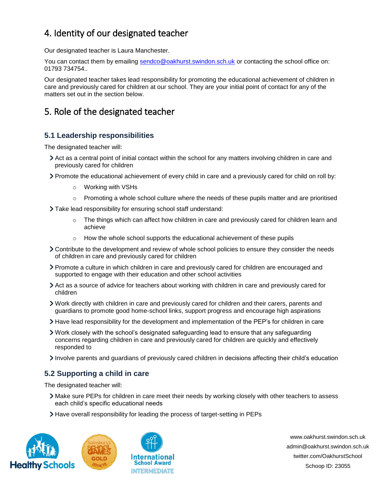# <span id="page-2-0"></span>4. Identity of our designated teacher

Our designated teacher is Laura Manchester.

You can contact them by emailing [sendco@oakhurst.swindon.sch.uk](mailto:sendco@oakhurst.swindon.sch.uk) or contacting the school office on: 01793 734754..

Our designated teacher takes lead responsibility for promoting the educational achievement of children in care and previously cared for children at our school. They are your initial point of contact for any of the matters set out in the section below.

# <span id="page-2-1"></span>5. Role of the designated teacher

### **5.1 Leadership responsibilities**

The designated teacher will:

- Act as a central point of initial contact within the school for any matters involving children in care and previously cared for children
- Promote the educational achievement of every child in care and a previously cared for child on roll by:
	- o Working with VSHs
	- $\circ$  Promoting a whole school culture where the needs of these pupils matter and are prioritised
- Take lead responsibility for ensuring school staff understand:
	- o The things which can affect how children in care and previously cared for children learn and achieve
	- $\circ$  How the whole school supports the educational achievement of these pupils
- Contribute to the development and review of whole school policies to ensure they consider the needs of children in care and previously cared for children
- Promote a culture in which children in care and previously cared for children are encouraged and supported to engage with their education and other school activities
- Act as a source of advice for teachers about working with children in care and previously cared for children
- Work directly with children in care and previously cared for children and their carers, parents and guardians to promote good home-school links, support progress and encourage high aspirations
- Have lead responsibility for the development and implementation of the PEP's for children in care
- Work closely with the school's designated safeguarding lead to ensure that any safeguarding concerns regarding children in care and previously cared for children are quickly and effectively responded to
- Involve parents and guardians of previously cared children in decisions affecting their child's education

### **5.2 Supporting a child in care**

The designated teacher will:

- Make sure PEPs for children in care meet their needs by working closely with other teachers to assess each child's specific educational needs
- Have overall responsibility for leading the process of target-setting in PEPs



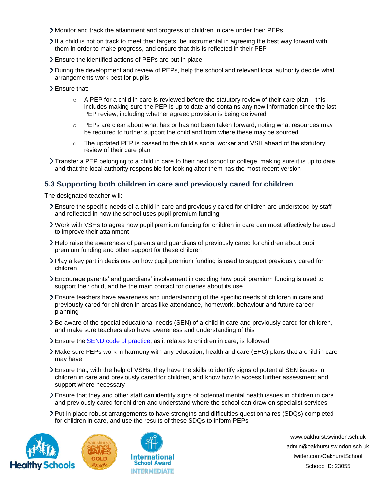- Monitor and track the attainment and progress of children in care under their PEPs
- $\geq$  If a child is not on track to meet their targets, be instrumental in agreeing the best way forward with them in order to make progress, and ensure that this is reflected in their PEP
- Ensure the identified actions of PEPs are put in place
- During the development and review of PEPs, help the school and relevant local authority decide what arrangements work best for pupils
- > Ensure that:
	- $\circ$  A PEP for a child in care is reviewed before the statutory review of their care plan this includes making sure the PEP is up to date and contains any new information since the last PEP review, including whether agreed provision is being delivered
	- $\circ$  PEPs are clear about what has or has not been taken forward, noting what resources may be required to further support the child and from where these may be sourced
	- $\circ$  The updated PEP is passed to the child's social worker and VSH ahead of the statutory review of their care plan
- Transfer a PEP belonging to a child in care to their next school or college, making sure it is up to date and that the local authority responsible for looking after them has the most recent version

#### **5.3 Supporting both children in care and previously cared for children**

The designated teacher will:

- Ensure the specific needs of a child in care and previously cared for children are understood by staff and reflected in how the school uses pupil premium funding
- Work with VSHs to agree how pupil premium funding for children in care can most effectively be used to improve their attainment
- Help raise the awareness of parents and guardians of previously cared for children about pupil premium funding and other support for these children
- Play a key part in decisions on how pupil premium funding is used to support previously cared for children
- Encourage parents' and guardians' involvement in deciding how pupil premium funding is used to support their child, and be the main contact for queries about its use
- Ensure teachers have awareness and understanding of the specific needs of children in care and previously cared for children in areas like attendance, homework, behaviour and future career planning
- Be aware of the special educational needs (SEN) of a child in care and previously cared for children, and make sure teachers also have awareness and understanding of this
- Ensure the [SEND code of practice,](https://www.gov.uk/government/publications/send-code-of-practice-0-to-25) as it relates to children in care, is followed
- Make sure PEPs work in harmony with any education, health and care (EHC) plans that a child in care may have
- Ensure that, with the help of VSHs, they have the skills to identify signs of potential SEN issues in children in care and previously cared for children, and know how to access further assessment and support where necessary
- Ensure that they and other staff can identify signs of potential mental health issues in children in care and previously cared for children and understand where the school can draw on specialist services
- Put in place robust arrangements to have strengths and difficulties questionnaires (SDQs) completed for children in care, and use the results of these SDQs to inform PEPs



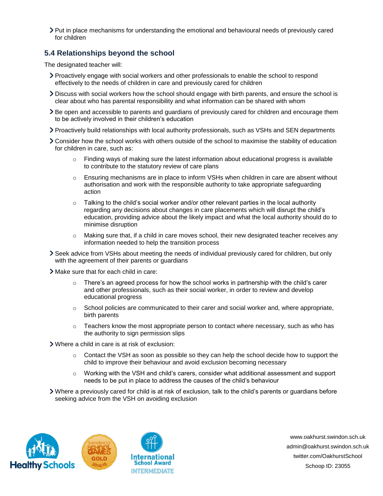Put in place mechanisms for understanding the emotional and behavioural needs of previously cared for children

#### **5.4 Relationships beyond the school**

The designated teacher will:

- Proactively engage with social workers and other professionals to enable the school to respond effectively to the needs of children in care and previously cared for children
- Discuss with social workers how the school should engage with birth parents, and ensure the school is clear about who has parental responsibility and what information can be shared with whom
- Be open and accessible to parents and guardians of previously cared for children and encourage them to be actively involved in their children's education
- Proactively build relationships with local authority professionals, such as VSHs and SEN departments
- Consider how the school works with others outside of the school to maximise the stability of education for children in care, such as:
	- $\circ$  Finding ways of making sure the latest information about educational progress is available to contribute to the statutory review of care plans
	- $\circ$  Ensuring mechanisms are in place to inform VSHs when children in care are absent without authorisation and work with the responsible authority to take appropriate safeguarding action
	- $\circ$  Talking to the child's social worker and/or other relevant parties in the local authority regarding any decisions about changes in care placements which will disrupt the child's education, providing advice about the likely impact and what the local authority should do to minimise disruption
	- $\circ$  Making sure that, if a child in care moves school, their new designated teacher receives any information needed to help the transition process
- Seek advice from VSHs about meeting the needs of individual previously cared for children, but only with the agreement of their parents or guardians
- Make sure that for each child in care:
	- $\circ$  There's an agreed process for how the school works in partnership with the child's carer and other professionals, such as their social worker, in order to review and develop educational progress
	- $\circ$  School policies are communicated to their carer and social worker and, where appropriate, birth parents
	- $\circ$  Teachers know the most appropriate person to contact where necessary, such as who has the authority to sign permission slips
- Where a child in care is at risk of exclusion:
	- $\circ$  Contact the VSH as soon as possible so they can help the school decide how to support the child to improve their behaviour and avoid exclusion becoming necessary
	- o Working with the VSH and child's carers, consider what additional assessment and support needs to be put in place to address the causes of the child's behaviour
- Where a previously cared for child is at risk of exclusion, talk to the child's parents or guardians before seeking advice from the VSH on avoiding exclusion